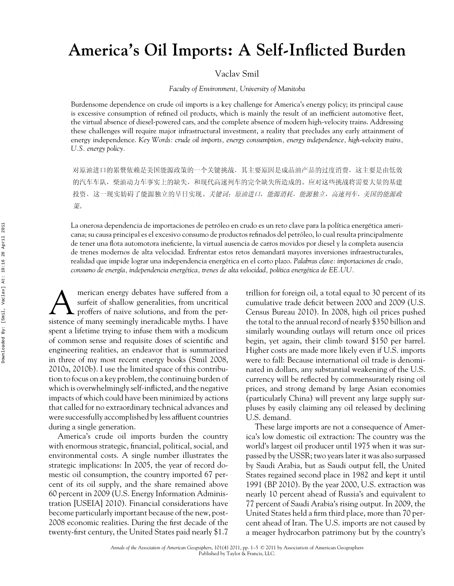## **America's Oil Imports: A Self-Inflicted Burden**

Vaclav Smil

*Faculty of Environment, University of Manitoba*

Burdensome dependence on crude oil imports is a key challenge for America's energy policy; its principal cause is excessive consumption of refined oil products, which is mainly the result of an inefficient automotive fleet, the virtual absence of diesel-powered cars, and the complete absence of modern high-velocity trains. Addressing these challenges will require major infrastructural investment, a reality that precludes any early attainment of energy independence. *Key Words: crude oil imports, energy consumption, energy independence, high-velocity trains, U.S. energy policy.*

对原油进口的累赘依赖是美国能源政策的一个关键挑战,其主要原因是成品油产品的过度消费,这主要是由低效 的汽车车队, 柴油动力车事实上的缺失, 和现代高速列车的完全缺失所造成的。应对这些挑战将需要大量的基建 投资,这一现实妨碍了能源独立的早日实现。关键词:原油进口,能源消耗,能源独立,高速列车,美国的能源政 策。

La onerosa dependencia de importaciones de petróleo en crudo es un reto clave para la política energética americana; su causa principal es el excesivo consumo de productos refinados del petroleo, lo cual resulta principalmente ´ de tener una flota automotora ineficiente, la virtual ausencia de carros movidos por diesel y la completa ausencia de trenes modernos de alta velocidad. Enfrentar estos retos demandará mayores inversiones infraestructurales, realidad que impide lograr una independencia energetica en el corto plazo. ´ *Palabras clave: importaciones de crudo, consumo de energ´ıa, independencia energetica, trenes de alta velocidad, pol ´ ´ıtica energetica de EE.UU. ´*

**AMERICAN EXECUTE:** METHER THE SUITE OF SUITE SUITE A PROFILE A PROPERTY SOF NAIVE SOLUTIONS, and from the per-<br>
proffers of naive solutions, and from the persurfeit of shallow generalities, from uncritical sistence of many seemingly ineradicable myths. I have spent a lifetime trying to infuse them with a modicum of common sense and requisite doses of scientific and engineering realities, an endeavor that is summarized in three of my most recent energy books (Smil 2008, 2010a, 2010b). I use the limited space of this contribution to focus on a key problem, the continuing burden of which is overwhelmingly self-inflicted, and the negative impacts of which could have been minimized by actions that called for no extraordinary technical advances and were successfully accomplished by less affluent countries during a single generation.

America's crude oil imports burden the country with enormous strategic, financial, political, social, and environmental costs. A single number illustrates the strategic implications: In 2005, the year of record domestic oil consumption, the country imported 67 percent of its oil supply, and the share remained above 60 percent in 2009 (U.S. Energy Information Administration [USEIA] 2010). Financial considerations have become particularly important because of the new, post-2008 economic realities. During the first decade of the twenty-first century, the United States paid nearly \$1.7

trillion for foreign oil, a total equal to 30 percent of its cumulative trade deficit between 2000 and 2009 (U.S. Census Bureau 2010). In 2008, high oil prices pushed the total to the annual record of nearly \$350 billion and similarly wounding outlays will return once oil prices begin, yet again, their climb toward \$150 per barrel. Higher costs are made more likely even if U.S. imports were to fall: Because international oil trade is denominated in dollars, any substantial weakening of the U.S. currency will be reflected by commensurately rising oil prices, and strong demand by large Asian economies (particularly China) will prevent any large supply surpluses by easily claiming any oil released by declining U.S. demand.

These large imports are not a consequence of America's low domestic oil extraction: The country was the world's largest oil producer until 1975 when it was surpassed by the USSR; two years later it was also surpassed by Saudi Arabia, but as Saudi output fell, the United States regained second place in 1982 and kept it until 1991 (BP 2010). By the year 2000, U.S. extraction was nearly 10 percent ahead of Russia's and equivalent to 77 percent of Saudi Arabia's rising output. In 2009, the United States held a firm third place, more than 70 percent ahead of Iran. The U.S. imports are not caused by a meager hydrocarbon patrimony but by the country's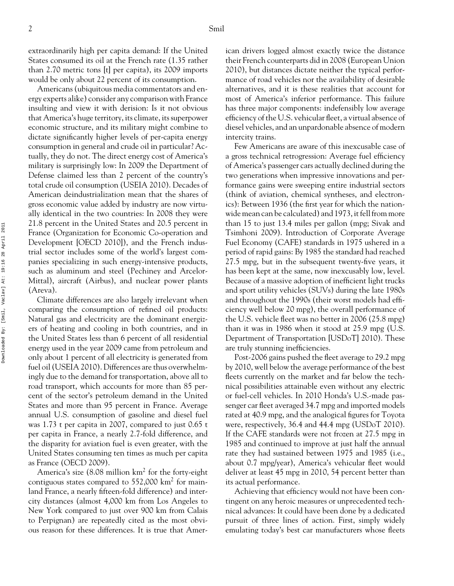extraordinarily high per capita demand: If the United States consumed its oil at the French rate (1.35 rather than 2.70 metric tons [t] per capita), its 2009 imports would be only about 22 percent of its consumption.

Americans (ubiquitous media commentators and energy experts alike) consider any comparison with France insulting and view it with derision: Is it not obvious that America's huge territory, its climate, its superpower economic structure, and its military might combine to dictate significantly higher levels of per-capita energy consumption in general and crude oil in particular? Actually, they do not. The direct energy cost of America's military is surprisingly low: In 2009 the Department of Defense claimed less than 2 percent of the country's total crude oil consumption (USEIA 2010). Decades of American deindustrialization mean that the shares of gross economic value added by industry are now virtually identical in the two countries: In 2008 they were 21.8 percent in the United States and 20.5 percent in France (Organization for Economic Co-operation and Development [OECD 2010]), and the French industrial sector includes some of the world's largest companies specializing in such energy-intensive products, such as aluminum and steel (Pechiney and Arcelor-Mittal), aircraft (Airbus), and nuclear power plants (Areva).

Climate differences are also largely irrelevant when comparing the consumption of refined oil products: Natural gas and electricity are the dominant energizers of heating and cooling in both countries, and in the United States less than 6 percent of all residential energy used in the year 2009 came from petroleum and only about 1 percent of all electricity is generated from fuel oil (USEIA 2010). Differences are thus overwhelmingly due to the demand for transportation, above all to road transport, which accounts for more than 85 percent of the sector's petroleum demand in the United States and more than 95 percent in France. Average annual U.S. consumption of gasoline and diesel fuel was 1.73 t per capita in 2007, compared to just 0.65 t per capita in France, a nearly 2.7-fold difference, and the disparity for aviation fuel is even greater, with the United States consuming ten times as much per capita as France (OECD 2009).

America's size (8.08 million  $km^2$  for the forty-eight contiguous states compared to  $552,000 \text{ km}^2$  for mainland France, a nearly fifteen-fold difference) and intercity distances (almost 4,000 km from Los Angeles to New York compared to just over 900 km from Calais to Perpignan) are repeatedly cited as the most obvious reason for these differences. It is true that American drivers logged almost exactly twice the distance their French counterparts did in 2008 (European Union 2010), but distances dictate neither the typical performance of road vehicles nor the availability of desirable alternatives, and it is these realities that account for most of America's inferior performance. This failure has three major components: indefensibly low average efficiency of the U.S. vehicular fleet, a virtual absence of diesel vehicles, and an unpardonable absence of modern intercity trains.

Few Americans are aware of this inexcusable case of a gross technical retrogression: Average fuel efficiency of America's passenger cars actually declined during the two generations when impressive innovations and performance gains were sweeping entire industrial sectors (think of aviation, chemical syntheses, and electronics): Between 1936 (the first year for which the nationwide mean can be calculated) and 1973, it fell from more than 15 to just 13.4 miles per gallon (mpg; Sivak and Tsimhoni 2009). Introduction of Corporate Average Fuel Economy (CAFE) standards in 1975 ushered in a period of rapid gains: By 1985 the standard had reached 27.5 mpg, but in the subsequent twenty-five years, it has been kept at the same, now inexcusably low, level. Because of a massive adoption of inefficient light trucks and sport utility vehicles (SUVs) during the late 1980s and throughout the 1990s (their worst models had efficiency well below 20 mpg), the overall performance of the U.S. vehicle fleet was no better in 2006 (25.8 mpg) than it was in 1986 when it stood at 25.9 mpg (U.S. Department of Transportation [USDoT] 2010). These are truly stunning inefficiencies.

Post-2006 gains pushed the fleet average to 29.2 mpg by 2010, well below the average performance of the best fleets currently on the market and far below the technical possibilities attainable even without any electric or fuel-cell vehicles. In 2010 Honda's U.S.-made passenger car fleet averaged 34.7 mpg and imported models rated at 40.9 mpg, and the analogical figures for Toyota were, respectively, 36.4 and 44.4 mpg (USDoT 2010). If the CAFE standards were not frozen at 27.5 mpg in 1985 and continued to improve at just half the annual rate they had sustained between 1975 and 1985 (i.e., about 0.7 mpg/year), America's vehicular fleet would deliver at least 45 mpg in 2010, 54 percent better than its actual performance.

Achieving that efficiency would not have been contingent on any heroic measures or unprecedented technical advances: It could have been done by a dedicated pursuit of three lines of action. First, simply widely emulating today's best car manufacturers whose fleets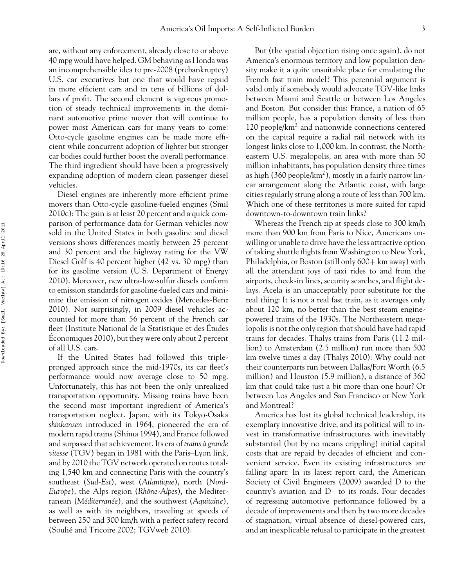are, without any enforcement, already close to or above 40 mpg would have helped. GM behaving as Honda was an incomprehensible idea to pre-2008 (prebankruptcy) U.S. car executives but one that would have repaid in more efficient cars and in tens of billions of dollars of profit. The second element is vigorous promotion of steady technical improvements in the dominant automotive prime mover that will continue to power most American cars for many years to come: Otto-cycle gasoline engines can be made more efficient while concurrent adoption of lighter but stronger car bodies could further boost the overall performance. The third ingredient should have been a progressively expanding adoption of modern clean passenger diesel vehicles.

Diesel engines are inherently more efficient prime movers than Otto-cycle gasoline-fueled engines (Smil 2010c): The gain is at least 20 percent and a quick comparison of performance data for German vehicles now sold in the United States in both gasoline and diesel versions shows differences mostly between 25 percent and 30 percent and the highway rating for the VW Diesel Golf is 40 percent higher (42 vs. 30 mpg) than for its gasoline version (U.S. Department of Energy 2010). Moreover, new ultra-low-sulfur diesels conform to emission standards for gasoline-fueled cars and minimize the emission of nitrogen oxides (Mercedes-Benz 2010). Not surprisingly, in 2009 diesel vehicles accounted for more than 56 percent of the French car fleet (Institute National de la Statistique et des Études<br>Économiques 2010), but they were only about 2 percent Economiques 2010), but they were only about 2 percent of all U.S. cars.

If the United States had followed this triplepronged approach since the mid-1970s, its car fleet's performance would now average close to 50 mpg. Unfortunately, this has not been the only unrealized transportation opportunity. Missing trains have been the second most important ingredient of America's transportation neglect. Japan, with its Tokyo-Osaka *shinkansen* introduced in 1964, pioneered the era of modern rapid trains (Shima 1994), and France followed and surpassed that achievement. Its era of *trains a grande ` vitesse* (TGV) began in 1981 with the Paris–Lyon link, and by 2010 the TGV network operated on routes totaling 1,540 km and connecting Paris with the country's southeast (*Sud-Est*), west (*Atlantique*), north (*Nord-Europe*), the Alps region (*Rhône-Alpes*), the Mediterranean (*Méditerranée*), and the southwest (*Aquitaine*), as well as with its neighbors, traveling at speeds of between 250 and 300 km/h with a perfect safety record (Soulie and Tricoire 2002; TGVweb 2010). ´

But (the spatial objection rising once again), do not America's enormous territory and low population density make it a quite unsuitable place for emulating the French fast train model? This perennial argument is valid only if somebody would advocate TGV-like links between Miami and Seattle or between Los Angeles and Boston. But consider this: France, a nation of 65 million people, has a population density of less than 120 people/ $km<sup>2</sup>$  and nationwide connections centered on the capital require a radial rail network with its longest links close to 1,000 km. In contrast, the Northeastern U.S. megalopolis, an area with more than 50 million inhabitants, has population density three times as high  $(360 \text{ people/km}^2)$ , mostly in a fairly narrow linear arrangement along the Atlantic coast, with large cities regularly strung along a route of less than 700 km. Which one of these territories is more suited for rapid downtown-to-downtown train links?

Whereas the French zip at speeds close to 300 km/h more than 900 km from Paris to Nice, Americans unwilling or unable to drive have the less attractive option of taking shuttle flights from Washington to New York, Philadelphia, or Boston (still only  $600+$  km away) with all the attendant joys of taxi rides to and from the airports, check-in lines, security searches, and flight delays. Acela is an unacceptably poor substitute for the real thing: It is not a real fast train, as it averages only about 120 km, no better than the best steam enginepowered trains of the 1930s. The Northeastern megalopolis is not the only region that should have had rapid trains for decades. Thalys trains from Paris (11.2 million) to Amsterdam (2.5 million) run more than 500 km twelve times a day (Thalys 2010): Why could not their counterparts run between Dallas/Fort Worth (6.5 million) and Houston (5.9 million), a distance of 360 km that could take just a bit more than one hour? Or between Los Angeles and San Francisco or New York and Montreal?

America has lost its global technical leadership, its exemplary innovative drive, and its political will to invest in transformative infrastructures with inevitably substantial (but by no means crippling) initial capital costs that are repaid by decades of efficient and convenient service. Even its existing infrastructures are falling apart: In its latest report card, the American Society of Civil Engineers (2009) awarded D to the country's aviation and D– to its roads. Four decades of regressing automotive performance followed by a decade of improvements and then by two more decades of stagnation, virtual absence of diesel-powered cars, and an inexplicable refusal to participate in the greatest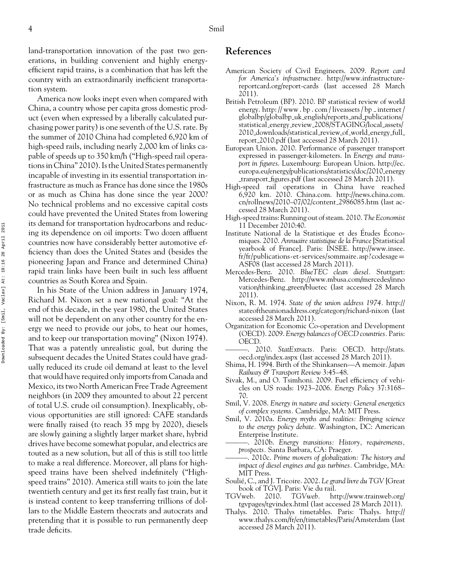land-transportation innovation of the past two generations, in building convenient and highly energyefficient rapid trains, is a combination that has left the country with an extraordinarily inefficient transportation system.

America now looks inept even when compared with China, a country whose per capita gross domestic product (even when expressed by a liberally calculated purchasing power parity) is one seventh of the U.S. rate. By the summer of 2010 China had completed 6,920 km of high-speed rails, including nearly 2,000 km of links capable of speeds up to 350 km/h ("High-speed rail operations in China" 2010). Is the United States permanently incapable of investing in its essential transportation infrastructure as much as France has done since the 1980s or as much as China has done since the year 2000? No technical problems and no excessive capital costs could have prevented the United States from lowering its demand for transportation hydrocarbons and reducing its dependence on oil imports: Two dozen affluent countries now have considerably better automotive efficiency than does the United States and (besides the pioneering Japan and France and determined China) rapid train links have been built in such less affluent countries as South Korea and Spain.

In his State of the Union address in January 1974, Richard M. Nixon set a new national goal: "At the end of this decade, in the year 1980, the United States will not be dependent on any other country for the energy we need to provide our jobs, to heat our homes, and to keep our transportation moving" (Nixon 1974). That was a patently unrealistic goal, but during the subsequent decades the United States could have gradually reduced its crude oil demand at least to the level that would have required only imports from Canada and Mexico, its two North American Free Trade Agreement neighbors (in 2009 they amounted to about 22 percent of total U.S. crude oil consumption). Inexplicably, obvious opportunities are still ignored: CAFE standards were finally raised (to reach 35 mpg by 2020), diesels are slowly gaining a slightly larger market share, hybrid drives have become somewhat popular, and electrics are touted as a new solution, but all of this is still too little to make a real difference. Moreover, all plans for highspeed trains have been shelved indefinitely ("Highspeed trains" 2010). America still waits to join the late twentieth century and get its first really fast train, but it is instead content to keep transferring trillions of dollars to the Middle Eastern theocrats and autocrats and pretending that it is possible to run permanently deep trade deficits.

## **References**

- American Society of Civil Engineers. 2009. *Report card for America's infrastructure.* http://www.infrastructurereportcard.org/report-cards (last accessed 28 March 2011).
- British Petroleum (BP). 2010. BP statistical review of world energy. http://www.bp.com/liveassets/bp\_internet/ globalbp/globalbp uk english/reports and publications/ statistical energy review 2008/STAGING/local assets/ 2010 downloads/statistical review of world energy full report 2010.pdf (last accessed 28 March 2011).
- European Union. 2010. Performance of passenger transport expressed in passenger-kilometers. In *Energy and transport in figures*. Luxembourg: European Union. http://ec. europa.eu/energy/publications/statistics/doc/2010 energy transport figures.pdf (last accessed 28 March 2011).
- High-speed rail operations in China have reached 6,920 km. 2010. China.com. http://news.china.com. cn/rollnews/2010–07/02/content 2986085.htm (last accessed 28 March 2011).
- High-speed trains: Running out of steam. 2010.*The Economist* 11 December 2010:40.
- Institute National de la Statistique et des Études Économiques. 2010. *Annuaire statistique de la France* [Statistical yearbook of France]. Paris: INSEE. http://www.insee. fr/fr/publications-et-services/sommaire.asp?codesage= ASF08 (last accessed 28 March 2011).
- Mercedes-Benz. 2010. *BlueTEC clean diesel.* Stuttgart: Mercedes-Benz. http://www.mbusa.com/mercedes/inno vation/thinking green/bluetec (last accessed 28 March 2011).
- Nixon, R. M. 1974. *State of the union address 1974.* http:// stateoftheunionaddress.org/category/richard-nixon (last accessed 28 March 2011).
- Organization for Economic Co-operation and Development (OECD). 2009. *Energy balances of OECD countries.* Paris: OECD.
- ———. 2010. *StatExtracts.* Paris: OECD. http://stats. oecd.org/index.aspx (last accessed 28 March 2011).
- Shima, H. 1994. Birth of the Shinkansen—A memoir. *Japan Railway & Transport Review* 3:45–48.
- Sivak, M., and O. Tsimhoni. 2009. Fuel efficiency of vehicles on US roads: 1923–2006. *Energy Policy* 37:3168– 70.
- Smil, V. 2008. *Energy in nature and society: General energetics of complex systems.* Cambridge, MA: MIT Press.
- Smil, V. 2010a. *Energy myths and realities: Bringing science to the energy policy debate.* Washington, DC: American Enterprise Institute.
- ———. 2010b. *Energy transitions: History, requirements, prospects.* Santa Barbara, CA: Praeger.
- ———. 2010c. *Prime movers of globalization: The history and impact of diesel engines and gas turbines.* Cambridge, MA: MIT Press.
- Soulié, C., and J. Tricoire. 2002. Le grand livre du TGV [Great book of TGV]. Paris: Vie du rail.
- TGVweb. 2010. *TGVweb.* http://www.trainweb.org/ tgvpages/tgvindex.html (last accessed 28 March 2011).
- Thalys. 2010. Thalys timetables. Paris: Thalys. http:// www.thalys.com/fr/en/timetables/Paris/Amsterdam (last accessed 28 March 2011).